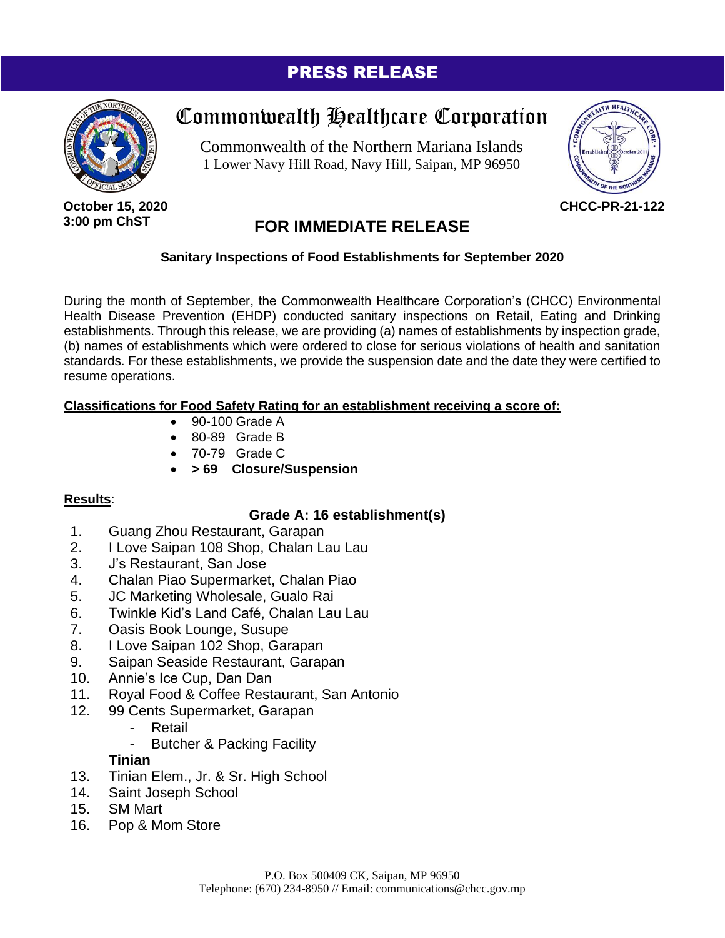### PRESS RELEASE



# Commonwealth Healthcare Corporation

Commonwealth of the Northern Mariana Islands 1 Lower Navy Hill Road, Navy Hill, Saipan, MP 96950



**October 15, 2020 3:00 pm ChST**

## **FOR IMMEDIATE RELEASE**

#### **Sanitary Inspections of Food Establishments for September 2020**

During the month of September, the Commonwealth Healthcare Corporation's (CHCC) Environmental Health Disease Prevention (EHDP) conducted sanitary inspections on Retail, Eating and Drinking establishments. Through this release, we are providing (a) names of establishments by inspection grade, (b) names of establishments which were ordered to close for serious violations of health and sanitation standards. For these establishments, we provide the suspension date and the date they were certified to resume operations.

#### **Classifications for Food Safety Rating for an establishment receiving a score of:**

- 90-100 Grade A
- 80-89 Grade B
- 70-79 Grade C
- **> 69 Closure/Suspension**

#### **Results**:

#### **Grade A: 16 establishment(s)**

- 1. Guang Zhou Restaurant, Garapan
- 2. I Love Saipan 108 Shop, Chalan Lau Lau
- 3. J's Restaurant, San Jose
- 4. Chalan Piao Supermarket, Chalan Piao
- 5. JC Marketing Wholesale, Gualo Rai
- 6. Twinkle Kid's Land Café, Chalan Lau Lau
- 7. Oasis Book Lounge, Susupe
- 8. I Love Saipan 102 Shop, Garapan
- 9. Saipan Seaside Restaurant, Garapan
- 10. Annie's Ice Cup, Dan Dan
- 11. Royal Food & Coffee Restaurant, San Antonio
- 12. 99 Cents Supermarket, Garapan
	- **Retail**
	- Butcher & Packing Facility

#### **Tinian**

- 13. Tinian Elem., Jr. & Sr. High School
- 14. Saint Joseph School
- 15. SM Mart
- 16. Pop & Mom Store